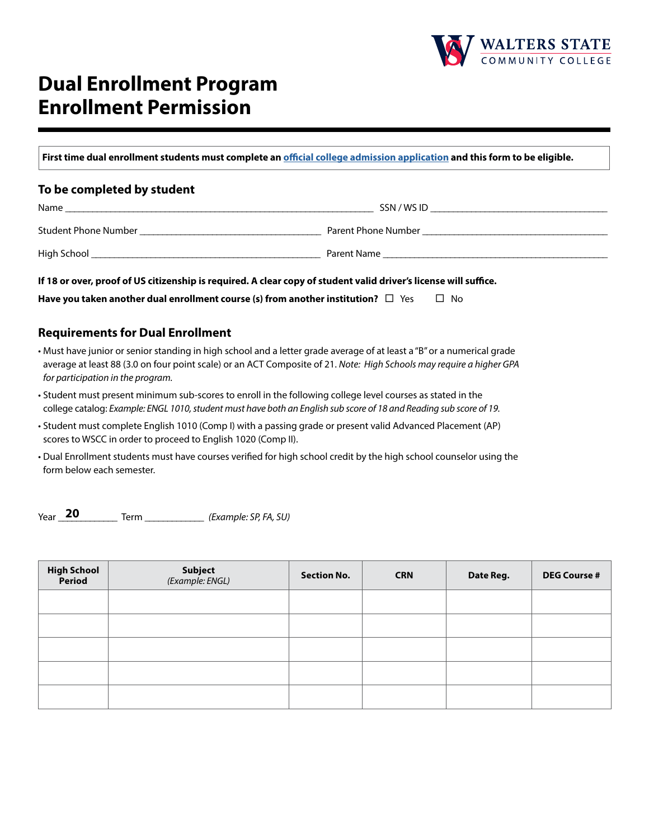

# **Dual Enrollment Program Enrollment Permission**

**First time dual enrollment students must complete an [official college admission application](https://ws.edu/admissions/apply/) and this form to be eligible.**

### **To be completed by student**

| Name                        | SSN / WS ID         |
|-----------------------------|---------------------|
| <b>Student Phone Number</b> | Parent Phone Number |
| High School                 | Parent Name         |

**If 18 or over, proof of US citizenship is required. A clear copy of student valid driver's license will suffice.**

| Have you taken another dual enrollment course (s) from another institution? $\Box$ Yes | $\Box$ No |
|----------------------------------------------------------------------------------------|-----------|
|----------------------------------------------------------------------------------------|-----------|

### **Requirements for Dual Enrollment**

- Must have junior or senior standing in high school and a letter grade average of at least a "B" or a numerical grade average at least 88 (3.0 on four point scale) or an ACT Composite of 21. *Note: High Schools may require a higher GPA for participation in the program.*
- Student must present minimum sub-scores to enroll in the following college level courses as stated in the college catalog: *Example: ENGL 1010, student must have both an English sub score of 18 and Reading sub score of 19.*
- Student must complete English 1010 (Comp I) with a passing grade or present valid Advanced Placement (AP) scores to WSCC in order to proceed to English 1020 (Comp II).
- Dual Enrollment students must have courses verified for high school credit by the high school counselor using the form below each semester.

Term  $(Example: SP, FA, SU)$ **20**

| High School<br>Period | <b>Subject</b><br>(Example: ENGL) | <b>Section No.</b> | <b>CRN</b> | Date Reg. | <b>DEG Course #</b> |
|-----------------------|-----------------------------------|--------------------|------------|-----------|---------------------|
|                       |                                   |                    |            |           |                     |
|                       |                                   |                    |            |           |                     |
|                       |                                   |                    |            |           |                     |
|                       |                                   |                    |            |           |                     |
|                       |                                   |                    |            |           |                     |